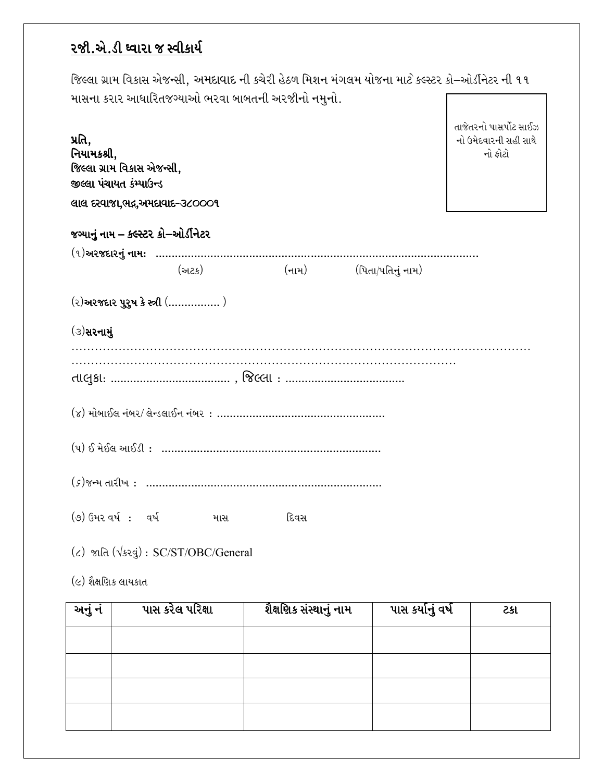## <u>રજી.એ.ડી ઘ્વારા જ સ્વીકાર્ય</u>

જિલ્લા ગ્રામ વિકાસ એજન્સી, અમદાવાદ ની કચેરી હેઠળ મિશન મંગલમ યોજના માટે કલ્સ્ટર કો–ઓર્ડીનેટર ની ૧૧ માસના કરાર આધારિતજગ્યાઓ ભરવા બાબતની અરજીનો નમુનો.

| પ્રતિ,<br>નિયામકશ્રી,<br>જિલ્લા ગ્રામ વિકાસ એજન્સી,<br>જીલ્લા પંચાયત કંમ્પાઉન્ડ<br>લાલ દરવાજા, ભદ્ર, અમદાવાદ-3૮૦૦૦૧<br>જગ્યાનું નામ – કલ્સ્ટર કો–ઓર્ડીનેટર |      |                                        | તાજેતરનો પાસર્પોટ સાઈઝ<br>નો ઉમેદવારની સહી સાથે<br>નો ફોટો |  |  |  |
|------------------------------------------------------------------------------------------------------------------------------------------------------------|------|----------------------------------------|------------------------------------------------------------|--|--|--|
| (અટક)                                                                                                                                                      |      | (નામ)                (પિતા/પતિનું નામ) |                                                            |  |  |  |
| (૨)અરજદાર પુરુષ કે સ્ત્રી ()                                                                                                                               |      |                                        |                                                            |  |  |  |
| (૩)સરનામું                                                                                                                                                 |      |                                        |                                                            |  |  |  |
|                                                                                                                                                            |      |                                        |                                                            |  |  |  |
|                                                                                                                                                            |      |                                        |                                                            |  |  |  |
|                                                                                                                                                            |      |                                        |                                                            |  |  |  |
|                                                                                                                                                            |      |                                        |                                                            |  |  |  |
| (૭) ઉમરવર્ષ: વર્ષ<br>માસ                                                                                                                                   | દિવસ |                                        |                                                            |  |  |  |

- (૮) જાતિ (√કરવું): SC/ST/OBC/General
- (૯) શૈક્ષણિક લાયકાત

| પાસ કરેલ પરિક્ષા | શૈક્ષણિક સંસ્થાનું નામ | <u>પાસ કર્યાનું વર્ષ</u> | ટકા |
|------------------|------------------------|--------------------------|-----|
|                  |                        |                          |     |
|                  |                        |                          |     |
|                  |                        |                          |     |
|                  |                        |                          |     |
|                  |                        |                          |     |